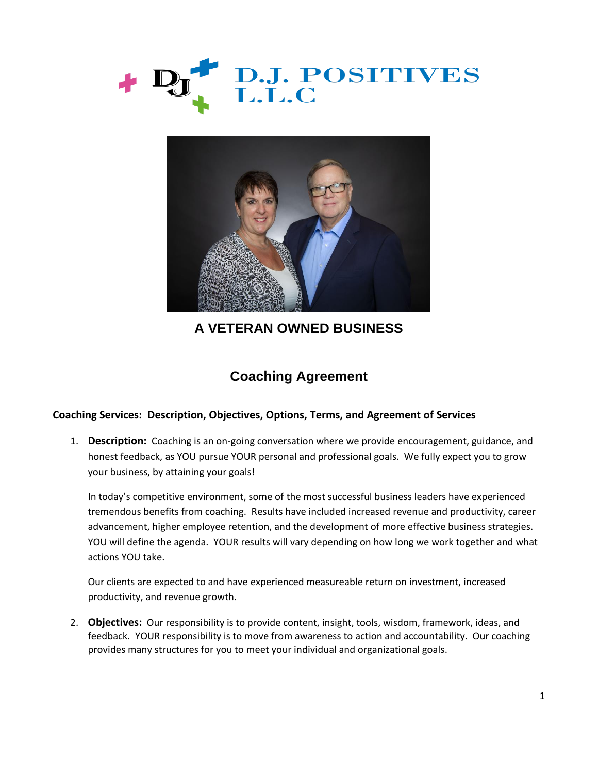



**A VETERAN OWNED BUSINESS**

## **Coaching Agreement**

## **Coaching Services: Description, Objectives, Options, Terms, and Agreement of Services**

1. **Description:** Coaching is an on-going conversation where we provide encouragement, guidance, and honest feedback, as YOU pursue YOUR personal and professional goals. We fully expect you to grow your business, by attaining your goals!

In today's competitive environment, some of the most successful business leaders have experienced tremendous benefits from coaching. Results have included increased revenue and productivity, career advancement, higher employee retention, and the development of more effective business strategies. YOU will define the agenda. YOUR results will vary depending on how long we work together and what actions YOU take.

Our clients are expected to and have experienced measureable return on investment, increased productivity, and revenue growth.

2. **Objectives:** Our responsibility is to provide content, insight, tools, wisdom, framework, ideas, and feedback. YOUR responsibility is to move from awareness to action and accountability. Our coaching provides many structures for you to meet your individual and organizational goals.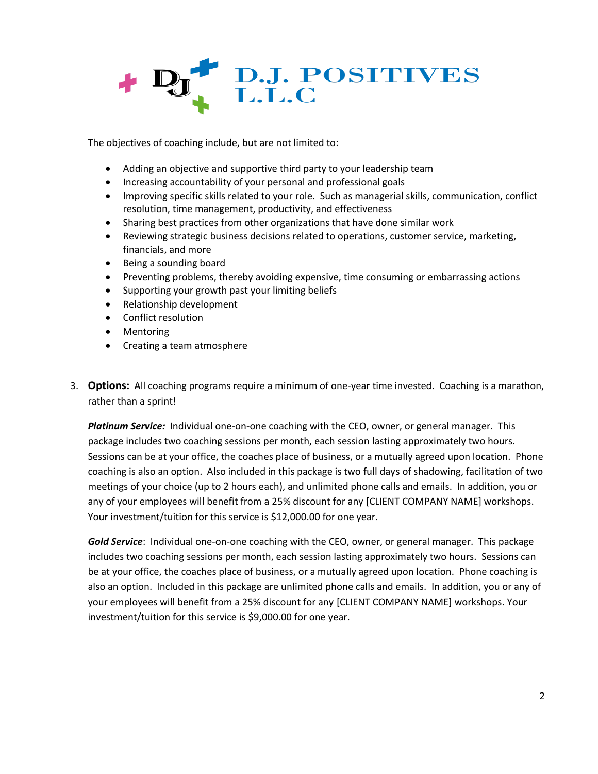

The objectives of coaching include, but are not limited to:

- Adding an objective and supportive third party to your leadership team
- Increasing accountability of your personal and professional goals
- Improving specific skills related to your role. Such as managerial skills, communication, conflict resolution, time management, productivity, and effectiveness
- Sharing best practices from other organizations that have done similar work
- Reviewing strategic business decisions related to operations, customer service, marketing, financials, and more
- Being a sounding board
- Preventing problems, thereby avoiding expensive, time consuming or embarrassing actions
- Supporting your growth past your limiting beliefs
- Relationship development
- Conflict resolution
- Mentoring
- Creating a team atmosphere
- 3. **Options:** All coaching programs require a minimum of one-year time invested. Coaching is a marathon, rather than a sprint!

*Platinum Service:* Individual one-on-one coaching with the CEO, owner, or general manager. This package includes two coaching sessions per month, each session lasting approximately two hours. Sessions can be at your office, the coaches place of business, or a mutually agreed upon location. Phone coaching is also an option. Also included in this package is two full days of shadowing, facilitation of two meetings of your choice (up to 2 hours each), and unlimited phone calls and emails. In addition, you or any of your employees will benefit from a 25% discount for any [CLIENT COMPANY NAME] workshops. Your investment/tuition for this service is \$12,000.00 for one year.

*Gold Service*: Individual one-on-one coaching with the CEO, owner, or general manager. This package includes two coaching sessions per month, each session lasting approximately two hours. Sessions can be at your office, the coaches place of business, or a mutually agreed upon location. Phone coaching is also an option. Included in this package are unlimited phone calls and emails. In addition, you or any of your employees will benefit from a 25% discount for any [CLIENT COMPANY NAME] workshops. Your investment/tuition for this service is \$9,000.00 for one year.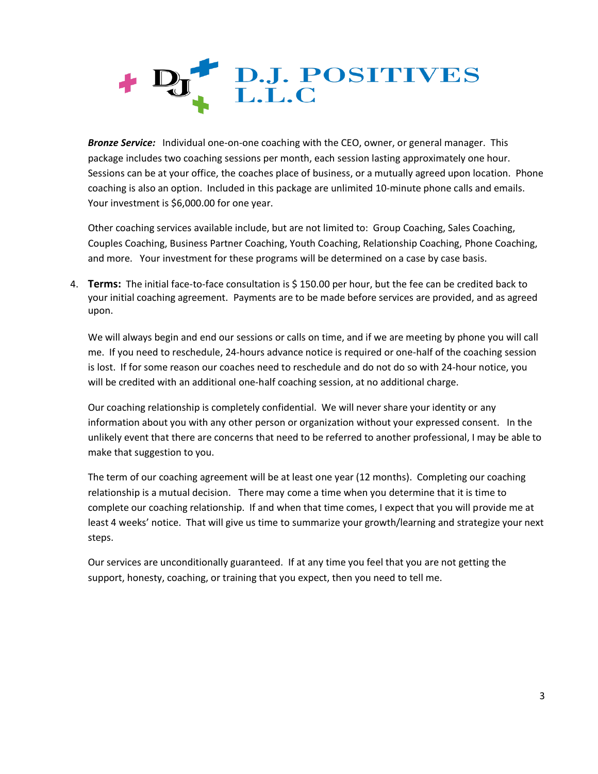

*Bronze Service:* Individual one-on-one coaching with the CEO, owner, or general manager. This package includes two coaching sessions per month, each session lasting approximately one hour. Sessions can be at your office, the coaches place of business, or a mutually agreed upon location. Phone coaching is also an option. Included in this package are unlimited 10-minute phone calls and emails. Your investment is \$6,000.00 for one year.

Other coaching services available include, but are not limited to: Group Coaching, Sales Coaching, Couples Coaching, Business Partner Coaching, Youth Coaching, Relationship Coaching, Phone Coaching, and more. Your investment for these programs will be determined on a case by case basis.

4. **Terms:** The initial face-to-face consultation is \$ 150.00 per hour, but the fee can be credited back to your initial coaching agreement. Payments are to be made before services are provided, and as agreed upon.

We will always begin and end our sessions or calls on time, and if we are meeting by phone you will call me. If you need to reschedule, 24-hours advance notice is required or one-half of the coaching session is lost. If for some reason our coaches need to reschedule and do not do so with 24-hour notice, you will be credited with an additional one-half coaching session, at no additional charge.

Our coaching relationship is completely confidential. We will never share your identity or any information about you with any other person or organization without your expressed consent. In the unlikely event that there are concerns that need to be referred to another professional, I may be able to make that suggestion to you.

The term of our coaching agreement will be at least one year (12 months). Completing our coaching relationship is a mutual decision. There may come a time when you determine that it is time to complete our coaching relationship. If and when that time comes, I expect that you will provide me at least 4 weeks' notice. That will give us time to summarize your growth/learning and strategize your next steps.

Our services are unconditionally guaranteed. If at any time you feel that you are not getting the support, honesty, coaching, or training that you expect, then you need to tell me.